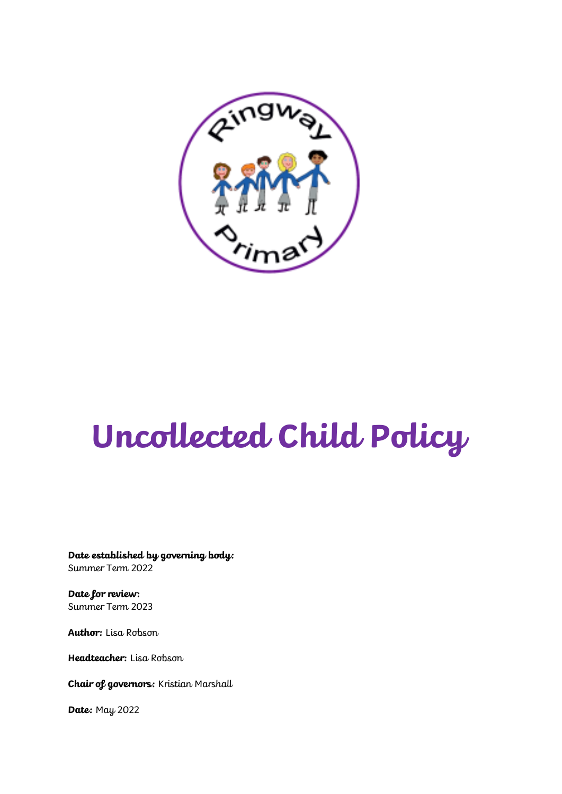

# **Uncollected Child Policy**

**Date established by governing body:** Summer Term 2022

**Date for review:** Summer Term 2023

**Author:** Lisa Robson

**Headteacher:** Lisa Robson

**Chair of governors:** Kristian Marshall

**Date:** May 2022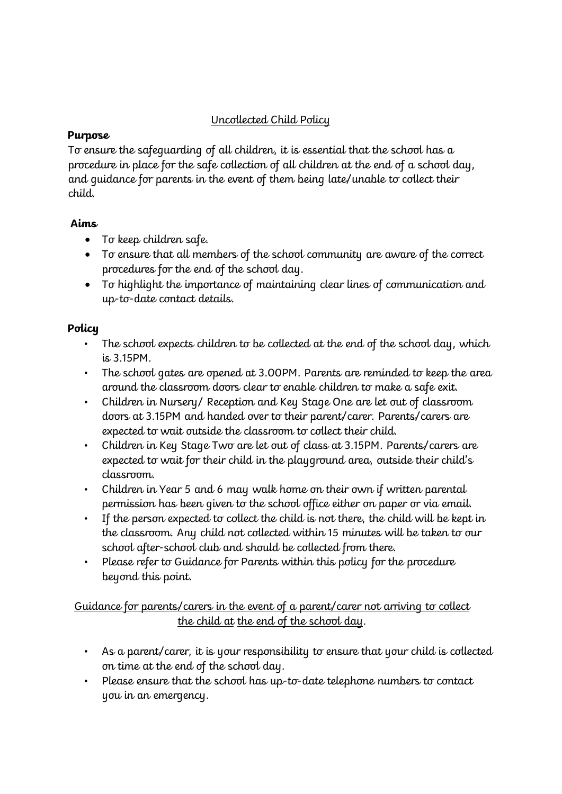## Uncollected Child Policy

#### **Purpose**

To ensure the safeguarding of all children, it is essential that the school has a procedure in place for the safe collection of all children at the end of a school day, and guidance for parents in the event of them being late/unable to collect their child.

#### **Aims**

- To keep children safe.
- To ensure that all members of the school community are aware of the correct procedures for the end of the school day.
- To highlight the importance of maintaining clear lines of communication and up-to-date contact details.

#### **Policy**

- The school expects children to be collected at the end of the school day, which is 3.15PM.
- The school gates are opened at 3.00PM. Parents are reminded to keep the area around the classroom doors clear to enable children to make a safe exit.
- Children in Nursery/ Reception and Key Stage One are let out of classroom doors at 3.15PM and handed over to their parent/carer. Parents/carers are expected to wait outside the classroom to collect their child.
- Children in Key Stage Two are let out of class at 3.15PM. Parents/carers are expected to wait for their child in the playground area, outside their child's classroom.
- Children in Year 5 and 6 may walk home on their own if written parental permission has been given to the school office either on paper or via email.
- If the person expected to collect the child is not there, the child will be kept in the classroom. Any child not collected within 15 minutes will be taken to our school after-school club and should be collected from there.
- Please refer to Guidance for Parents within this policy for the procedure beyond this point.

### Guidance for parents/carers in the event of a parent/carer not arriving to collect the child at the end of the school day.

- As a parent/carer, it is your responsibility to ensure that your child is collected on time at the end of the school day.
- Please ensure that the school has up-to-date telephone numbers to contact you in an emergency.